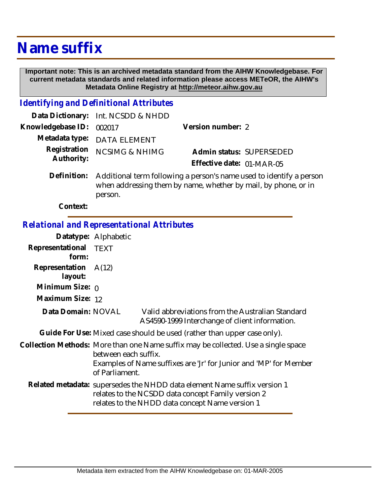## **Name suffix**

 **Important note: This is an archived metadata standard from the AIHW Knowledgebase. For current metadata standards and related information please access METeOR, the AIHW's Metadata Online Registry at http://meteor.aihw.gov.au**

## *Identifying and Definitional Attributes*

|                            | Data Dictionary: Int. NCSDD & NHDD                                                                                                               |                           |                          |
|----------------------------|--------------------------------------------------------------------------------------------------------------------------------------------------|---------------------------|--------------------------|
| Knowledgebase ID:          | 002017                                                                                                                                           | Version number: 2         |                          |
| Metadata type:             | <b>DATA ELEMENT</b>                                                                                                                              |                           |                          |
| Registration<br>Authority: | <b>NCSIMG &amp; NHIMG</b>                                                                                                                        | Effective date: 01-MAR-05 | Admin status: SUPERSEDED |
| Definition:                | Additional term following a person's name used to identify a person<br>when addressing them by name, whether by mail, by phone, or in<br>person. |                           |                          |

**Context:**

## *Relational and Representational Attributes*

|                                 | Datatype: Alphabetic                                                                                                                                                                              |                                                                                                    |  |
|---------------------------------|---------------------------------------------------------------------------------------------------------------------------------------------------------------------------------------------------|----------------------------------------------------------------------------------------------------|--|
| Representational<br>form:       | <b>TEXT</b>                                                                                                                                                                                       |                                                                                                    |  |
| Representation A(12)<br>layout: |                                                                                                                                                                                                   |                                                                                                    |  |
| Minimum Size: $\rho$            |                                                                                                                                                                                                   |                                                                                                    |  |
| Maximum Size: 12                |                                                                                                                                                                                                   |                                                                                                    |  |
| Data Domain: NOVAL              |                                                                                                                                                                                                   | Valid abbreviations from the Australian Standard<br>AS4590-1999 Interchange of client information. |  |
|                                 | Guide For Use: Mixed case should be used (rather than upper case only).                                                                                                                           |                                                                                                    |  |
|                                 | Collection Methods: More than one Name suffix may be collected. Use a single space<br>between each suffix.<br>Examples of Name suffixes are 'Jr' for Junior and 'MP' for Member<br>of Parliament. |                                                                                                    |  |
|                                 |                                                                                                                                                                                                   |                                                                                                    |  |
|                                 | Related metadata: supersedes the NHDD data element Name suffix version 1<br>relates to the NCSDD data concept Family version 2<br>relates to the NHDD data concept Name version 1                 |                                                                                                    |  |